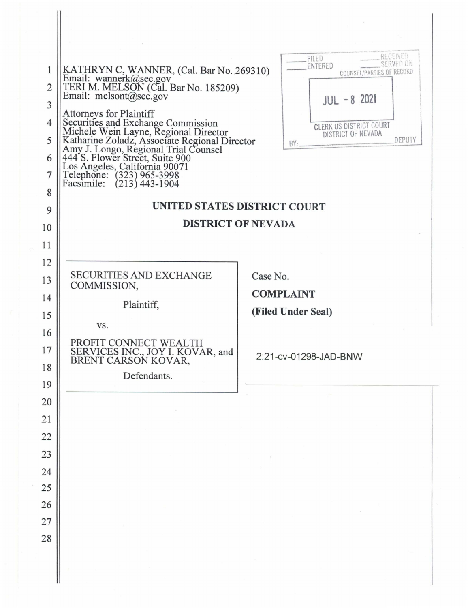| $\mathbf{1}$<br>$\overline{2}$<br>$\overline{3}$<br>$\overline{4}$<br>5<br>6<br>7 | KATHRYN C, WANNER, (Cal. Bar No. 269310)<br>Email: wannerk@sec.gov<br>TERI M. MELSON (Cal. Bar No. 185209)<br>Email: melsont@sec.gov<br>Attorneys for Plaintiff<br>Securities and Exchange Commission<br>Michele Wein Layne, Regional Director<br>Katharine Zoladz, Associate Regional Director<br>Amy J. Longo, Regional Trial Counsel<br>444 S. Flower Street, Suite 900<br>Los | RECEIVED<br><b>FILED</b><br>SERVED ON<br>ENTERED<br>COUNSEL/PARTIES OF RECORD<br>$JUL - 8$ 2021<br>CLERK US DISTRICT COURT<br>DISTRICT OF NEVADA<br>DEPUTY<br>BY: |  |  |
|-----------------------------------------------------------------------------------|-----------------------------------------------------------------------------------------------------------------------------------------------------------------------------------------------------------------------------------------------------------------------------------------------------------------------------------------------------------------------------------|-------------------------------------------------------------------------------------------------------------------------------------------------------------------|--|--|
| 8                                                                                 |                                                                                                                                                                                                                                                                                                                                                                                   |                                                                                                                                                                   |  |  |
| 9                                                                                 | <b>UNITED STATES DISTRICT COURT</b>                                                                                                                                                                                                                                                                                                                                               |                                                                                                                                                                   |  |  |
| 10                                                                                | <b>DISTRICT OF NEVADA</b>                                                                                                                                                                                                                                                                                                                                                         |                                                                                                                                                                   |  |  |
| 11                                                                                |                                                                                                                                                                                                                                                                                                                                                                                   |                                                                                                                                                                   |  |  |
| 12                                                                                |                                                                                                                                                                                                                                                                                                                                                                                   |                                                                                                                                                                   |  |  |
| 13                                                                                | <b>SECURITIES AND EXCHANGE</b><br>COMMISSION,                                                                                                                                                                                                                                                                                                                                     | Case No.                                                                                                                                                          |  |  |
| 14                                                                                | Plaintiff,                                                                                                                                                                                                                                                                                                                                                                        | <b>COMPLAINT</b>                                                                                                                                                  |  |  |
| 15                                                                                | VS.                                                                                                                                                                                                                                                                                                                                                                               | (Filed Under Seal)                                                                                                                                                |  |  |
| 16                                                                                | PROFIT CONNECT WEALTH                                                                                                                                                                                                                                                                                                                                                             |                                                                                                                                                                   |  |  |
| 17                                                                                | SERVICES INC., JOY I. KOVAR, and<br>BRENT CARSON KOVAR,                                                                                                                                                                                                                                                                                                                           | 2:21-cv-01298-JAD-BNW                                                                                                                                             |  |  |
| 18<br>19                                                                          | Defendants.                                                                                                                                                                                                                                                                                                                                                                       |                                                                                                                                                                   |  |  |
| 20                                                                                |                                                                                                                                                                                                                                                                                                                                                                                   |                                                                                                                                                                   |  |  |
| 21                                                                                |                                                                                                                                                                                                                                                                                                                                                                                   |                                                                                                                                                                   |  |  |
| 22                                                                                |                                                                                                                                                                                                                                                                                                                                                                                   |                                                                                                                                                                   |  |  |
| 23                                                                                |                                                                                                                                                                                                                                                                                                                                                                                   |                                                                                                                                                                   |  |  |
| 24                                                                                |                                                                                                                                                                                                                                                                                                                                                                                   |                                                                                                                                                                   |  |  |
| 25                                                                                |                                                                                                                                                                                                                                                                                                                                                                                   |                                                                                                                                                                   |  |  |
| 26                                                                                |                                                                                                                                                                                                                                                                                                                                                                                   |                                                                                                                                                                   |  |  |
| 27                                                                                |                                                                                                                                                                                                                                                                                                                                                                                   |                                                                                                                                                                   |  |  |
| 28                                                                                |                                                                                                                                                                                                                                                                                                                                                                                   |                                                                                                                                                                   |  |  |
|                                                                                   |                                                                                                                                                                                                                                                                                                                                                                                   |                                                                                                                                                                   |  |  |
|                                                                                   |                                                                                                                                                                                                                                                                                                                                                                                   |                                                                                                                                                                   |  |  |
|                                                                                   |                                                                                                                                                                                                                                                                                                                                                                                   |                                                                                                                                                                   |  |  |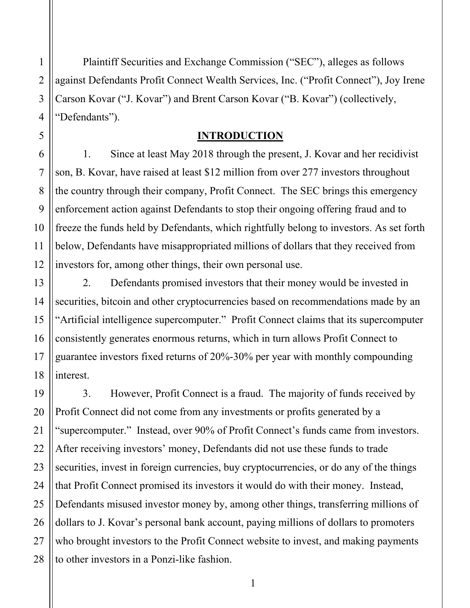Plaintiff Securities and Exchange Commission ("SEC"), alleges as follows against Defendants Profit Connect Wealth Services, Inc. ("Profit Connect"), Joy Irene Carson Kovar ("J. Kovar") and Brent Carson Kovar ("B. Kovar") (collectively, "Defendants").

#### **INTRODUCTION**

1. Since at least May 2018 through the present, J. Kovar and her recidivist son, B. Kovar, have raised at least \$12 million from over 277 investors throughout the country through their company, Profit Connect. The SEC brings this emergency enforcement action against Defendants to stop their ongoing offering fraud and to freeze the funds held by Defendants, which rightfully belong to investors. As set forth below, Defendants have misappropriated millions of dollars that they received from investors for, among other things, their own personal use.

2. Defendants promised investors that their money would be invested in securities, bitcoin and other cryptocurrencies based on recommendations made by an "Artificial intelligence supercomputer." Profit Connect claims that its supercomputer consistently generates enormous returns, which in turn allows Profit Connect to guarantee investors fixed returns of 20%-30% per year with monthly compounding interest.

 Profit Connect did not come from any investments or profits generated by a 3. However, Profit Connect is a fraud. The majority of funds received by "supercomputer." Instead, over 90% of Profit Connect's funds came from investors. After receiving investors' money, Defendants did not use these funds to trade securities, invest in foreign currencies, buy cryptocurrencies, or do any of the things that Profit Connect promised its investors it would do with their money. Instead, Defendants misused investor money by, among other things, transferring millions of dollars to J. Kovar's personal bank account, paying millions of dollars to promoters who brought investors to the Profit Connect website to invest, and making payments to other investors in a Ponzi-like fashion.

1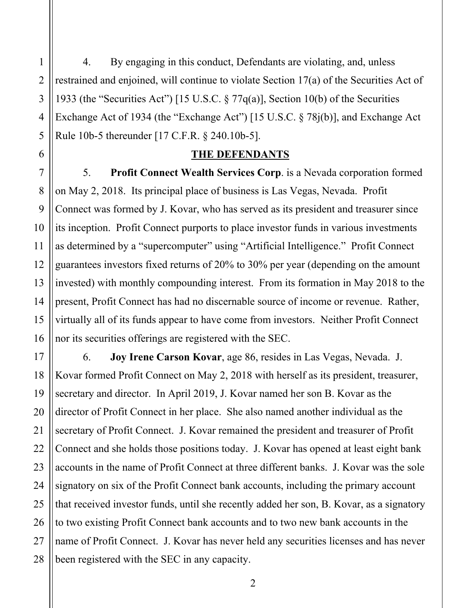4. By engaging in this conduct, Defendants are violating, and, unless restrained and enjoined, will continue to violate Section 17(a) of the Securities Act of 1933 (the "Securities Act") [15 U.S.C. § 77q(a)], Section 10(b) of the Securities Exchange Act of 1934 (the "Exchange Act") [15 U.S.C. § 78j(b)], and Exchange Act Rule 10b-5 thereunder [17 C.F.R. § 240.10b-5].

### **THE DEFENDANTS**

 virtually all of its funds appear to have come from investors. Neither Profit Connect 5. **Profit Connect Wealth Services Corp**. is a Nevada corporation formed on May 2, 2018. Its principal place of business is Las Vegas, Nevada. Profit Connect was formed by J. Kovar, who has served as its president and treasurer since its inception. Profit Connect purports to place investor funds in various investments as determined by a "supercomputer" using "Artificial Intelligence." Profit Connect guarantees investors fixed returns of 20% to 30% per year (depending on the amount invested) with monthly compounding interest. From its formation in May 2018 to the present, Profit Connect has had no discernable source of income or revenue. Rather, nor its securities offerings are registered with the SEC.

 Connect and she holds those positions today. J. Kovar has opened at least eight bank 6. **Joy Irene Carson Kovar**, age 86, resides in Las Vegas, Nevada. J. Kovar formed Profit Connect on May 2, 2018 with herself as its president, treasurer, secretary and director. In April 2019, J. Kovar named her son B. Kovar as the director of Profit Connect in her place. She also named another individual as the secretary of Profit Connect. J. Kovar remained the president and treasurer of Profit accounts in the name of Profit Connect at three different banks. J. Kovar was the sole signatory on six of the Profit Connect bank accounts, including the primary account that received investor funds, until she recently added her son, B. Kovar, as a signatory to two existing Profit Connect bank accounts and to two new bank accounts in the name of Profit Connect. J. Kovar has never held any securities licenses and has never been registered with the SEC in any capacity.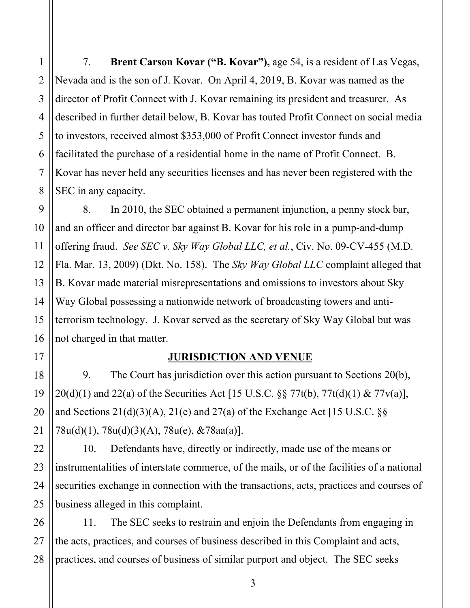7. **Brent Carson Kovar ("B. Kovar"),** age 54, is a resident of Las Vegas, Nevada and is the son of J. Kovar. On April 4, 2019, B. Kovar was named as the director of Profit Connect with J. Kovar remaining its president and treasurer. As described in further detail below, B. Kovar has touted Profit Connect on social media to investors, received almost \$353,000 of Profit Connect investor funds and facilitated the purchase of a residential home in the name of Profit Connect. B. Kovar has never held any securities licenses and has never been registered with the SEC in any capacity.

 terrorism technology. J. Kovar served as the secretary of Sky Way Global but was 8. In 2010, the SEC obtained a permanent injunction, a penny stock bar, and an officer and director bar against B. Kovar for his role in a pump-and-dump offering fraud. *See SEC v. Sky Way Global LLC, et al.*, Civ. No. 09-CV-455 (M.D. Fla. Mar. 13, 2009) (Dkt. No. 158). The *Sky Way Global LLC* complaint alleged that B. Kovar made material misrepresentations and omissions to investors about Sky Way Global possessing a nationwide network of broadcasting towers and antinot charged in that matter.

### **JURISDICTION AND VENUE**

9. The Court has jurisdiction over this action pursuant to Sections 20(b),  $20(d)(1)$  and  $22(a)$  of the Securities Act [15 U.S.C. §§ 77t(b), 77t(d)(1) & 77v(a)], and Sections  $21(d)(3)(A)$ ,  $21(e)$  and  $27(a)$  of the Exchange Act [15 U.S.C. §§ 78u(d)(1), 78u(d)(3)(A), 78u(e), &78aa(a)].

10. Defendants have, directly or indirectly, made use of the means or instrumentalities of interstate commerce, of the mails, or of the facilities of a national securities exchange in connection with the transactions, acts, practices and courses of business alleged in this complaint.

11. The SEC seeks to restrain and enjoin the Defendants from engaging in the acts, practices, and courses of business described in this Complaint and acts, practices, and courses of business of similar purport and object. The SEC seeks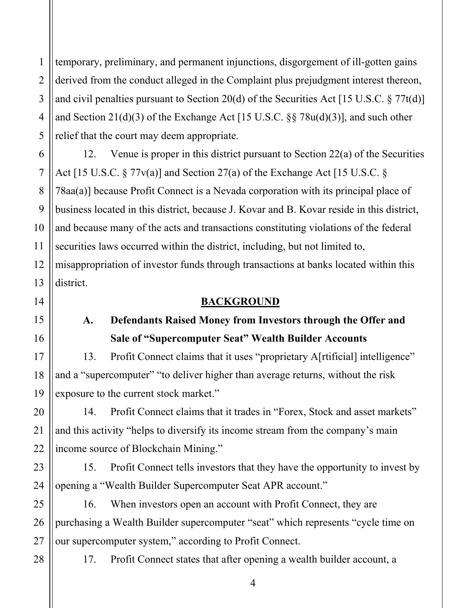4 temporary, preliminary, and permanent injunctions, disgorgement of ill-gotten gains derived from the conduct alleged in the Complaint plus prejudgment interest thereon, and civil penalties pursuant to Section 20(d) of the Securities Act [15 U.S.C. § 77t(d)] and Section 21(d)(3) of the Exchange Act [15 U.S.C. §§ 78u(d)(3)], and such other relief that the court may deem appropriate.

6 12. Venue is proper in this district pursuant to Section 22(a) of the Securities Act [15 U.S.C. § 77v(a)] and Section 27(a) of the Exchange Act [15 U.S.C. § 78aa(a)] because Profit Connect is a Nevada corporation with its principal place of business located in this district, because J. Kovar and B. Kovar reside in this district, and because many of the acts and transactions constituting violations of the federal securities laws occurred within the district, including, but not limited to, misappropriation of investor funds through transactions at banks located within this district.

#### **BACKGROUND**

# **A. Defendants Raised Money from Investors through the Offer and Sale of "Supercomputer Seat" Wealth Builder Accounts**

13. Profit Connect claims that it uses "proprietary A[rtificial] intelligence" and a "supercomputer" "to deliver higher than average returns, without the risk exposure to the current stock market."

14. Profit Connect claims that it trades in "Forex, Stock and asset markets" and this activity "helps to diversify its income stream from the company's main income source of Blockchain Mining."

15. Profit Connect tells investors that they have the opportunity to invest by opening a "Wealth Builder Supercomputer Seat APR account."

16. When investors open an account with Profit Connect, they are purchasing a Wealth Builder supercomputer "seat" which represents "cycle time on our supercomputer system," according to Profit Connect.

17. Profit Connect states that after opening a wealth builder account, a

1

2

3

5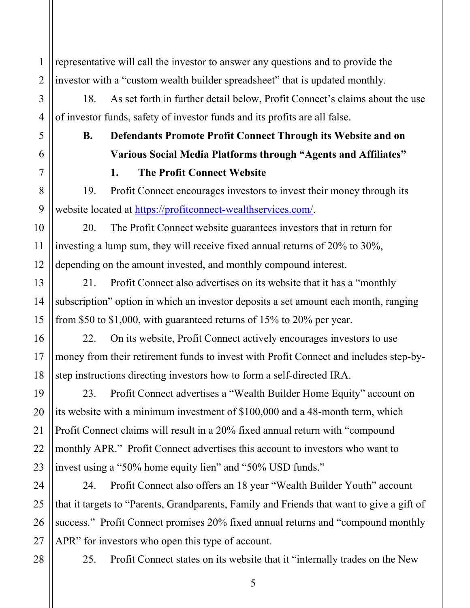representative will call the investor to answer any questions and to provide the investor with a "custom wealth builder spreadsheet" that is updated monthly.

18. As set forth in further detail below, Profit Connect's claims about the use of investor funds, safety of investor funds and its profits are all false.

# **B. Defendants Promote Profit Connect Through its Website and on Various Social Media Platforms through "Agents and Affiliates" 1. The Profit Connect Website**

19. Profit Connect encourages investors to invest their money through its website located at <https://profitconnect-wealthservices.com>/.

20. The Profit Connect website guarantees investors that in return for investing a lump sum, they will receive fixed annual returns of 20% to 30%, depending on the amount invested, and monthly compound interest.

21. Profit Connect also advertises on its website that it has a "monthly subscription" option in which an investor deposits a set amount each month, ranging from \$50 to \$1,000, with guaranteed returns of 15% to 20% per year.

 step instructions directing investors how to form a self-directed IRA. 22. On its website, Profit Connect actively encourages investors to use money from their retirement funds to invest with Profit Connect and includes step-by-

23. Profit Connect advertises a "Wealth Builder Home Equity" account on its website with a minimum investment of \$100,000 and a 48-month term, which Profit Connect claims will result in a 20% fixed annual return with "compound monthly APR." Profit Connect advertises this account to investors who want to invest using a "50% home equity lien" and "50% USD funds."

24. Profit Connect also offers an 18 year "Wealth Builder Youth" account that it targets to "Parents, Grandparents, Family and Friends that want to give a gift of success." Profit Connect promises 20% fixed annual returns and "compound monthly APR" for investors who open this type of account.

28

1

2

3

4

5

6

7

8

9

10

11

12

13

14

15

16

17

18

19

20

21

22

23

24

25

26

27

25. Profit Connect states on its website that it "internally trades on the New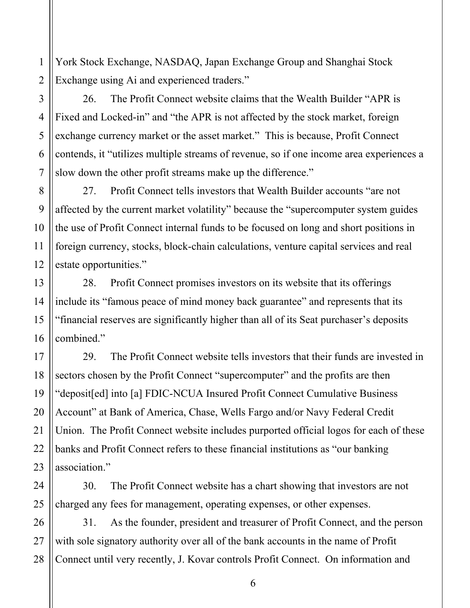1 2 York Stock Exchange, NASDAQ, Japan Exchange Group and Shanghai Stock Exchange using Ai and experienced traders."

 slow down the other profit streams make up the difference." 26. The Profit Connect website claims that the Wealth Builder "APR is Fixed and Locked-in" and "the APR is not affected by the stock market, foreign exchange currency market or the asset market." This is because, Profit Connect contends, it "utilizes multiple streams of revenue, so if one income area experiences a

27. Profit Connect tells investors that Wealth Builder accounts "are not affected by the current market volatility" because the "supercomputer system guides the use of Profit Connect internal funds to be focused on long and short positions in foreign currency, stocks, block-chain calculations, venture capital services and real estate opportunities."

28. Profit Connect promises investors on its website that its offerings include its "famous peace of mind money back guarantee" and represents that its "financial reserves are significantly higher than all of its Seat purchaser's deposits combined."

20 29. The Profit Connect website tells investors that their funds are invested in sectors chosen by the Profit Connect "supercomputer" and the profits are then "deposit[ed] into [a] FDIC-NCUA Insured Profit Connect Cumulative Business Account" at Bank of America, Chase, Wells Fargo and/or Navy Federal Credit Union. The Profit Connect website includes purported official logos for each of these banks and Profit Connect refers to these financial institutions as "our banking association."

30. The Profit Connect website has a chart showing that investors are not charged any fees for management, operating expenses, or other expenses.

26 27 28 31. As the founder, president and treasurer of Profit Connect, and the person with sole signatory authority over all of the bank accounts in the name of Profit Connect until very recently, J. Kovar controls Profit Connect. On information and

3

4

5

6

7

8

9

10

11

12

13

14

15

16

17

18

19

21

22

23

24

25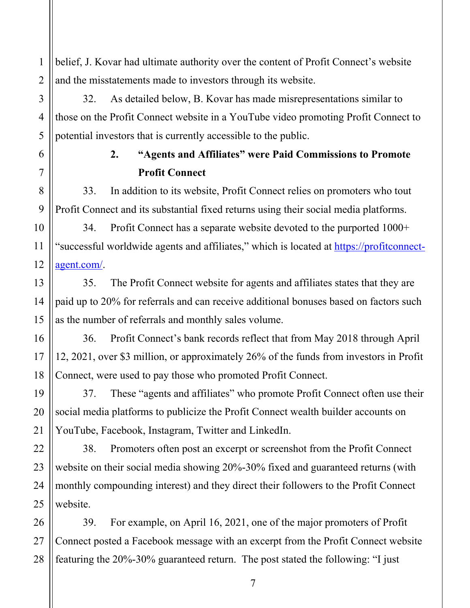belief, J. Kovar had ultimate authority over the content of Profit Connect's website and the misstatements made to investors through its website.

32. As detailed below, B. Kovar has made misrepresentations similar to those on the Profit Connect website in a YouTube video promoting Profit Connect to potential investors that is currently accessible to the public.

# **2. "Agents and Affiliates" were Paid Commissions to Promote Profit Connect**

33. In addition to its website, Profit Connect relies on promoters who tout Profit Connect and its substantial fixed returns using their social media platforms.

34. Profit Connect has a separate website devoted to the purported 1000+ "successful worldwide agents and affiliates," which is located at <https://profitconnect>[agent.com/](https://agent.com).

35. The Profit Connect website for agents and affiliates states that they are paid up to 20% for referrals and can receive additional bonuses based on factors such as the number of referrals and monthly sales volume.

 36. Profit Connect's bank records reflect that from May 2018 through April 12, 2021, over \$3 million, or approximately 26% of the funds from investors in Profit Connect, were used to pay those who promoted Profit Connect.

37. These "agents and affiliates" who promote Profit Connect often use their social media platforms to publicize the Profit Connect wealth builder accounts on YouTube, Facebook, Instagram, Twitter and LinkedIn.

38. Promoters often post an excerpt or screenshot from the Profit Connect website on their social media showing 20%-30% fixed and guaranteed returns (with monthly compounding interest) and they direct their followers to the Profit Connect website.

39. For example, on April 16, 2021, one of the major promoters of Profit Connect posted a Facebook message with an excerpt from the Profit Connect website featuring the 20%-30% guaranteed return. The post stated the following: "I just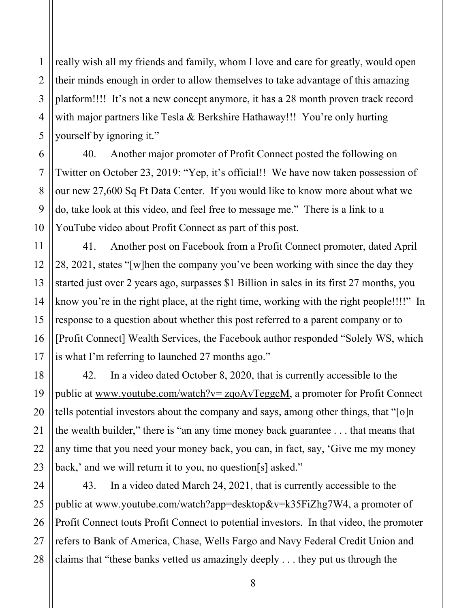really wish all my friends and family, whom I love and care for greatly, would open their minds enough in order to allow themselves to take advantage of this amazing platform!!!! It's not a new concept anymore, it has a 28 month proven track record with major partners like Tesla & Berkshire Hathaway!!! You're only hurting yourself by ignoring it."

40. Another major promoter of Profit Connect posted the following on Twitter on October 23, 2019: "Yep, it's official!! We have now taken possession of our new 27,600 Sq Ft Data Center. If you would like to know more about what we do, take look at this video, and feel free to message me." There is a link to a YouTube video about Profit Connect as part of this post.

41. Another post on Facebook from a Profit Connect promoter, dated April 28, 2021, states "[w]hen the company you've been working with since the day they started just over 2 years ago, surpasses \$1 Billion in sales in its first 27 months, you know you're in the right place, at the right time, working with the right people!!!!" In response to a question about whether this post referred to a parent company or to [Profit Connect] Wealth Services, the Facebook author responded "Solely WS, which is what I'm referring to launched 27 months ago."

 the wealth builder," there is "an any time money back guarantee . . . that means that 42. In a video dated October 8, 2020, that is currently accessible to the public at<www.youtube.com/watch?v>= zqoAvTeggcM, a promoter for Profit Connect tells potential investors about the company and says, among other things, that "[o]n any time that you need your money back, you can, in fact, say, 'Give me my money back,' and we will return it to you, no question[s] asked."

43. In a video dated March 24, 2021, that is currently accessible to the public at<www.youtube.com/watch?app=desktop&v=k35FiZhg7W4>, a promoter of Profit Connect touts Profit Connect to potential investors. In that video, the promoter refers to Bank of America, Chase, Wells Fargo and Navy Federal Credit Union and claims that "these banks vetted us amazingly deeply . . . they put us through the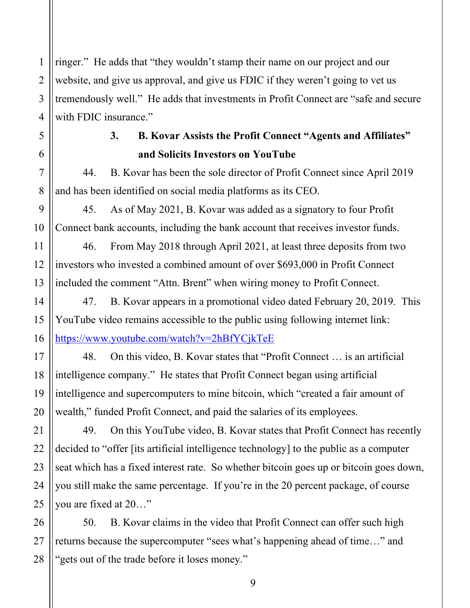2 3 4 ringer." He adds that "they wouldn't stamp their name on our project and our website, and give us approval, and give us FDIC if they weren't going to vet us tremendously well." He adds that investments in Profit Connect are "safe and secure with FDIC insurance."

1

5

6

7

8

9

10

11

12

13

14

15

16

17

18

19

20

21

22

23

24

25

## **3. B. Kovar Assists the Profit Connect "Agents and Affiliates" and Solicits Investors on YouTube**

44. B. Kovar has been the sole director of Profit Connect since April 2019 and has been identified on social media platforms as its CEO.

45. As of May 2021, B. Kovar was added as a signatory to four Profit Connect bank accounts, including the bank account that receives investor funds.

46. From May 2018 through April 2021, at least three deposits from two investors who invested a combined amount of over \$693,000 in Profit Connect included the comment "Attn. Brent" when wiring money to Profit Connect.

 <https://www.youtube.com/watch?v=2hBfYCjkTeE> 47. B. Kovar appears in a promotional video dated February 20, 2019. This YouTube video remains accessible to the public using following internet link:

48. On this video, B. Kovar states that "Profit Connect … is an artificial intelligence company." He states that Profit Connect began using artificial intelligence and supercomputers to mine bitcoin, which "created a fair amount of wealth," funded Profit Connect, and paid the salaries of its employees.

 seat which has a fixed interest rate. So whether bitcoin goes up or bitcoin goes down, 49. On this YouTube video, B. Kovar states that Profit Connect has recently decided to "offer [its artificial intelligence technology] to the public as a computer you still make the same percentage. If you're in the 20 percent package, of course you are fixed at 20…"

26 27 28 50. B. Kovar claims in the video that Profit Connect can offer such high returns because the supercomputer "sees what's happening ahead of time…" and "gets out of the trade before it loses money."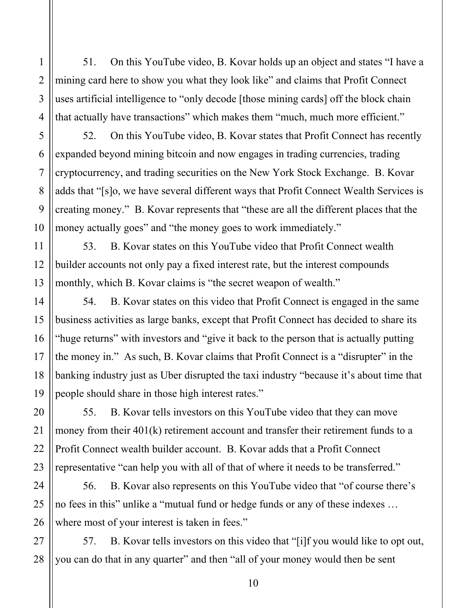mining card here to show you what they look like" and claims that Profit Connect 51. On this YouTube video, B. Kovar holds up an object and states "I have a uses artificial intelligence to "only decode [those mining cards] off the block chain that actually have transactions" which makes them "much, much more efficient."

52. On this YouTube video, B. Kovar states that Profit Connect has recently expanded beyond mining bitcoin and now engages in trading currencies, trading cryptocurrency, and trading securities on the New York Stock Exchange. B. Kovar adds that "[s]o, we have several different ways that Profit Connect Wealth Services is creating money." B. Kovar represents that "these are all the different places that the money actually goes" and "the money goes to work immediately."

53. B. Kovar states on this YouTube video that Profit Connect wealth builder accounts not only pay a fixed interest rate, but the interest compounds monthly, which B. Kovar claims is "the secret weapon of wealth."

54. B. Kovar states on this video that Profit Connect is engaged in the same business activities as large banks, except that Profit Connect has decided to share its "huge returns" with investors and "give it back to the person that is actually putting the money in." As such, B. Kovar claims that Profit Connect is a "disrupter" in the banking industry just as Uber disrupted the taxi industry "because it's about time that people should share in those high interest rates."

55. B. Kovar tells investors on this YouTube video that they can move money from their 401(k) retirement account and transfer their retirement funds to a Profit Connect wealth builder account. B. Kovar adds that a Profit Connect representative "can help you with all of that of where it needs to be transferred."

56. B. Kovar also represents on this YouTube video that "of course there's no fees in this" unlike a "mutual fund or hedge funds or any of these indexes … where most of your interest is taken in fees."

27 28 57. B. Kovar tells investors on this video that "[i]f you would like to opt out, you can do that in any quarter" and then "all of your money would then be sent

1

2

3

4

5

6

7

8

9

10

11

12

13

14

15

17

18

19

20

21

22

23

24

25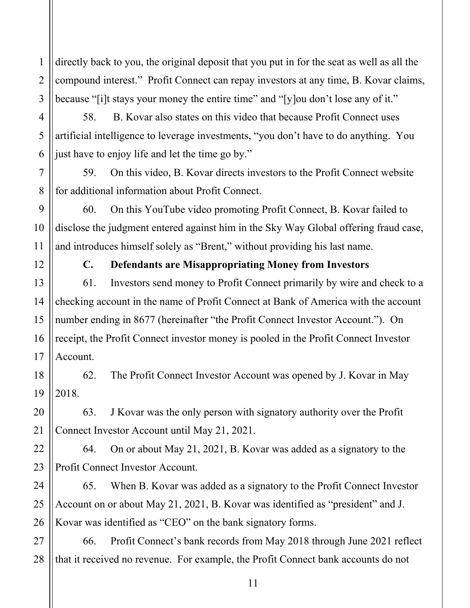1 2 3 directly back to you, the original deposit that you put in for the seat as well as all the compound interest." Profit Connect can repay investors at any time, B. Kovar claims, because "[i]t stays your money the entire time" and "[y]ou don't lose any of it."

 just have to enjoy life and let the time go by." 58. B. Kovar also states on this video that because Profit Connect uses artificial intelligence to leverage investments, "you don't have to do anything. You

59. On this video, B. Kovar directs investors to the Profit Connect website for additional information about Profit Connect.

60. On this YouTube video promoting Profit Connect, B. Kovar failed to disclose the judgment entered against him in the Sky Way Global offering fraud case, and introduces himself solely as "Brent," without providing his last name.

4

5

6

7

8

9

10

11

12

13

14

15

16

17

20

21

24

25

### **C. Defendants are Misappropriating Money from Investors**

61. Investors send money to Profit Connect primarily by wire and check to a checking account in the name of Profit Connect at Bank of America with the account number ending in 8677 (hereinafter "the Profit Connect Investor Account."). On receipt, the Profit Connect investor money is pooled in the Profit Connect Investor Account.

18 19 62. The Profit Connect Investor Account was opened by J. Kovar in May 2018.

63. J Kovar was the only person with signatory authority over the Profit Connect Investor Account until May 21, 2021.

22 23 64. On or about May 21, 2021, B. Kovar was added as a signatory to the Profit Connect Investor Account.

26 65. When B. Kovar was added as a signatory to the Profit Connect Investor Account on or about May 21, 2021, B. Kovar was identified as "president" and J. Kovar was identified as "CEO" on the bank signatory forms.

27 28 66. Profit Connect's bank records from May 2018 through June 2021 reflect that it received no revenue. For example, the Profit Connect bank accounts do not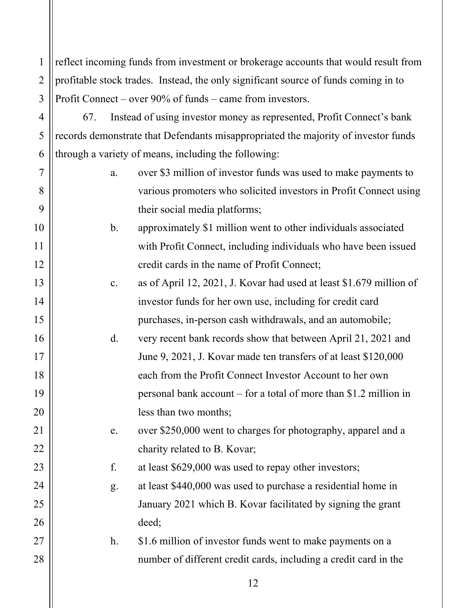Profit Connect – over 90% of funds – came from investors. 1 2 3 reflect incoming funds from investment or brokerage accounts that would result from profitable stock trades. Instead, the only significant source of funds coming in to

67. Instead of using investor money as represented, Profit Connect's bank records demonstrate that Defendants misappropriated the majority of investor funds through a variety of means, including the following:

4

5

6

7

8

9

10

11

12

13

14

15

16

17

18

19

20

21

22

23

24

25

26

27

28

- a. over \$3 million of investor funds was used to make payments to various promoters who solicited investors in Profit Connect using their social media platforms;
- b. approximately \$1 million went to other individuals associated with Profit Connect, including individuals who have been issued credit cards in the name of Profit Connect;
- c. as of April 12, 2021, J. Kovar had used at least \$1.679 million of investor funds for her own use, including for credit card purchases, in-person cash withdrawals, and an automobile;
- d. very recent bank records show that between April 21, 2021 and June 9, 2021, J. Kovar made ten transfers of at least \$120,000 each from the Profit Connect Investor Account to her own personal bank account – for a total of more than \$1.2 million in less than two months;
	- e. over \$250,000 went to charges for photography, apparel and a charity related to B. Kovar;

f. at least \$629,000 was used to repay other investors;

g. at least \$440,000 was used to purchase a residential home in January 2021 which B. Kovar facilitated by signing the grant deed;

h. \$1.6 million of investor funds went to make payments on a number of different credit cards, including a credit card in the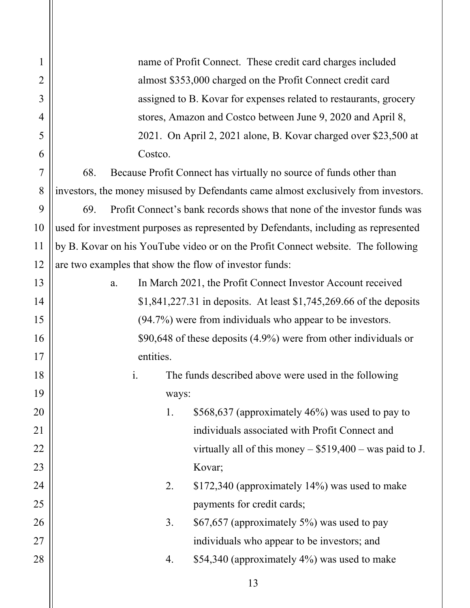1 2 3 4 5 6 7 8 9 10 11 12 13 14 15 16 17 18 19 20 21 22 23 24 25 26 27 28 name of Profit Connect. These credit card charges included almost \$353,000 charged on the Profit Connect credit card assigned to B. Kovar for expenses related to restaurants, grocery stores, Amazon and Costco between June 9, 2020 and April 8, 2021. On April 2, 2021 alone, B. Kovar charged over \$23,500 at Costco. 68. Because Profit Connect has virtually no source of funds other than investors, the money misused by Defendants came almost exclusively from investors. 69. Profit Connect's bank records shows that none of the investor funds was used for investment purposes as represented by Defendants, including as represented by B. Kovar on his YouTube video or on the Profit Connect website. The following are two examples that show the flow of investor funds: a. In March 2021, the Profit Connect Investor Account received \$[1,841,227.31](https://1,841,227.31) in deposits. At least [\\$1,745,269.66](https://1,745,269.66) of the deposits (94.7%) were from individuals who appear to be investors. \$90,648 of these deposits (4.9%) were from other individuals or entities. i. The funds described above were used in the following ways: 1. \$568,637 (approximately 46%) was used to pay to individuals associated with Profit Connect and virtually all of this money  $-$  \$519,400 – was paid to J. Kovar; 2. \$172,340 (approximately 14%) was used to make payments for credit cards; 3. \$67,657 (approximately 5%) was used to pay individuals who appear to be investors; and 4. \$54,340 (approximately 4%) was used to make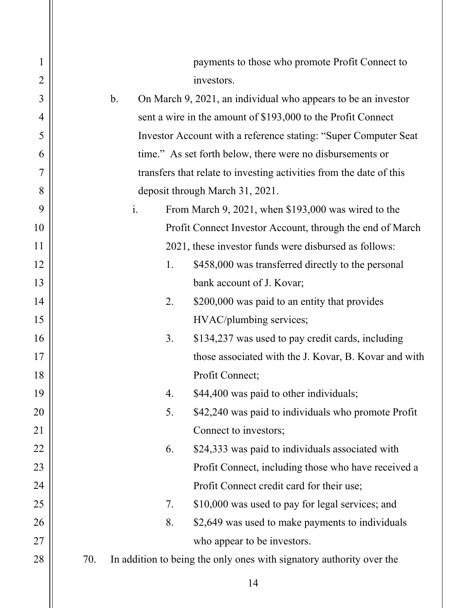| $\mathbf{1}$   | payments to those who promote Profit Connect to                                |  |
|----------------|--------------------------------------------------------------------------------|--|
| $\overline{2}$ | investors.                                                                     |  |
| 3              | On March 9, 2021, an individual who appears to be an investor<br>$\mathbf b$ . |  |
| $\overline{4}$ | sent a wire in the amount of \$193,000 to the Profit Connect                   |  |
| 5              | Investor Account with a reference stating: "Super Computer Seat                |  |
| 6              | time." As set forth below, there were no disbursements or                      |  |
| 7              | transfers that relate to investing activities from the date of this            |  |
| 8              | deposit through March 31, 2021.                                                |  |
| 9              | From March 9, 2021, when \$193,000 was wired to the<br>$\mathbf{i}$ .          |  |
| 10             | Profit Connect Investor Account, through the end of March                      |  |
| 11             | 2021, these investor funds were disbursed as follows:                          |  |
| 12             | \$458,000 was transferred directly to the personal<br>1.                       |  |
| 13             | bank account of J. Kovar;                                                      |  |
| 14             | 2.<br>\$200,000 was paid to an entity that provides                            |  |
| 15             | HVAC/plumbing services;                                                        |  |
| 16             | 3.<br>\$134,237 was used to pay credit cards, including                        |  |
| 17             | those associated with the J. Kovar, B. Kovar and with                          |  |
| 18             | Profit Connect;                                                                |  |
| 19             | 4.<br>\$44,400 was paid to other individuals;                                  |  |
| 20             | 5.<br>\$42,240 was paid to individuals who promote Profit                      |  |
| 21             | Connect to investors;                                                          |  |
| 22             | \$24,333 was paid to individuals associated with<br>6.                         |  |
| 23             | Profit Connect, including those who have received a                            |  |
| 24             | Profit Connect credit card for their use;                                      |  |
| 25             | \$10,000 was used to pay for legal services; and<br>7.                         |  |
| 26             | 8.<br>\$2,649 was used to make payments to individuals                         |  |
| 27             | who appear to be investors.                                                    |  |
| 28             | In addition to being the only ones with signatory authority over the<br>70.    |  |
|                | 14                                                                             |  |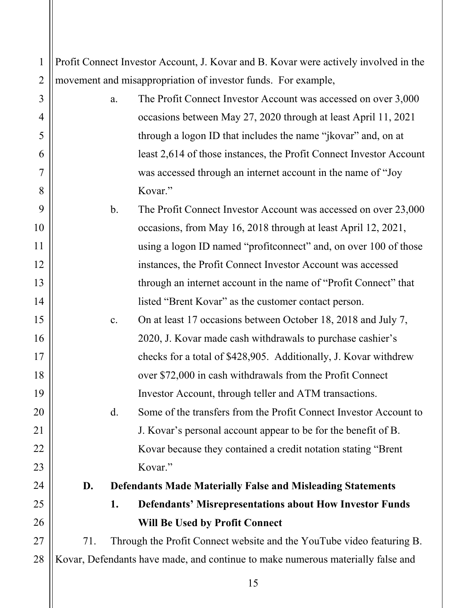| 1              | Profit Connect Investor Account, J. Kovar and B. Kovar were actively involved in the |                |                                                                       |
|----------------|--------------------------------------------------------------------------------------|----------------|-----------------------------------------------------------------------|
| $\overline{2}$ | movement and misappropriation of investor funds. For example,                        |                |                                                                       |
| 3              |                                                                                      | a.             | The Profit Connect Investor Account was accessed on over 3,000        |
| $\overline{4}$ |                                                                                      |                | occasions between May 27, 2020 through at least April 11, 2021        |
| 5              |                                                                                      |                | through a logon ID that includes the name "jkovar" and, on at         |
| 6              |                                                                                      |                | least 2,614 of those instances, the Profit Connect Investor Account   |
| 7              |                                                                                      |                | was accessed through an internet account in the name of "Joy          |
| 8              |                                                                                      |                | Kovar."                                                               |
| 9              |                                                                                      | $\mathbf b$ .  | The Profit Connect Investor Account was accessed on over 23,000       |
| 10             |                                                                                      |                | occasions, from May 16, 2018 through at least April 12, 2021,         |
| 11             |                                                                                      |                | using a logon ID named "profitconnect" and, on over 100 of those      |
| 12             |                                                                                      |                | instances, the Profit Connect Investor Account was accessed           |
| 13             |                                                                                      |                | through an internet account in the name of "Profit Connect" that      |
| 14             |                                                                                      |                | listed "Brent Kovar" as the customer contact person.                  |
| 15             |                                                                                      | c.             | On at least 17 occasions between October 18, 2018 and July 7,         |
| 16             |                                                                                      |                | 2020, J. Kovar made cash withdrawals to purchase cashier's            |
| 17             |                                                                                      |                | checks for a total of \$428,905. Additionally, J. Kovar withdrew      |
| 18             |                                                                                      |                | over \$72,000 in cash withdrawals from the Profit Connect             |
| 19             |                                                                                      |                | Investor Account, through teller and ATM transactions.                |
| 20             |                                                                                      | $\mathbf{d}$ . | Some of the transfers from the Profit Connect Investor Account to     |
| 21             |                                                                                      |                | J. Kovar's personal account appear to be for the benefit of B.        |
| 22             |                                                                                      |                | Kovar because they contained a credit notation stating "Brent"        |
| 23             |                                                                                      |                | Kovar."                                                               |
| 24             | D.                                                                                   |                | <b>Defendants Made Materially False and Misleading Statements</b>     |
| 25             |                                                                                      | 1.             | <b>Defendants' Misrepresentations about How Investor Funds</b>        |
| 26             |                                                                                      |                | <b>Will Be Used by Profit Connect</b>                                 |
| 27             | 71.                                                                                  |                | Through the Profit Connect website and the YouTube video featuring B. |
| 28             | Kovar, Defendants have made, and continue to make numerous materially false and      |                |                                                                       |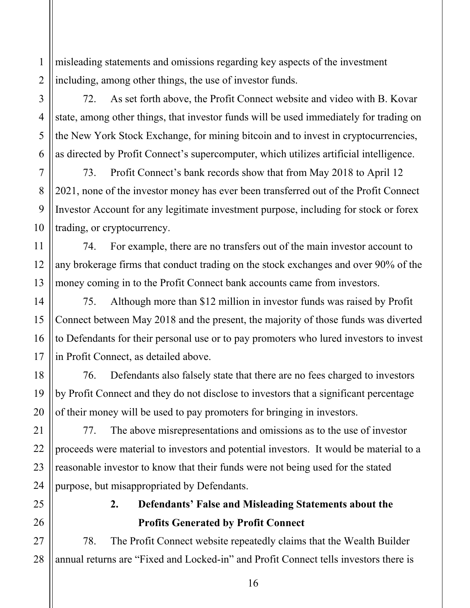1 2 misleading statements and omissions regarding key aspects of the investment including, among other things, the use of investor funds.

3

4

5

6

7

8

9

10

11

12

13

14

15

16

17

18

19

20

21

22

23

24

25

26

27

28

72. As set forth above, the Profit Connect website and video with B. Kovar state, among other things, that investor funds will be used immediately for trading on the New York Stock Exchange, for mining bitcoin and to invest in cryptocurrencies, as directed by Profit Connect's supercomputer, which utilizes artificial intelligence.

73. Profit Connect's bank records show that from May 2018 to April 12 2021, none of the investor money has ever been transferred out of the Profit Connect Investor Account for any legitimate investment purpose, including for stock or forex trading, or cryptocurrency.

 money coming in to the Profit Connect bank accounts came from investors. 74. For example, there are no transfers out of the main investor account to any brokerage firms that conduct trading on the stock exchanges and over 90% of the

75. Although more than \$12 million in investor funds was raised by Profit Connect between May 2018 and the present, the majority of those funds was diverted to Defendants for their personal use or to pay promoters who lured investors to invest in Profit Connect, as detailed above.

76. Defendants also falsely state that there are no fees charged to investors by Profit Connect and they do not disclose to investors that a significant percentage of their money will be used to pay promoters for bringing in investors.

77. The above misrepresentations and omissions as to the use of investor proceeds were material to investors and potential investors. It would be material to a reasonable investor to know that their funds were not being used for the stated purpose, but misappropriated by Defendants.

# **2. Defendants' False and Misleading Statements about the Profits Generated by Profit Connect**

78. The Profit Connect website repeatedly claims that the Wealth Builder annual returns are "Fixed and Locked-in" and Profit Connect tells investors there is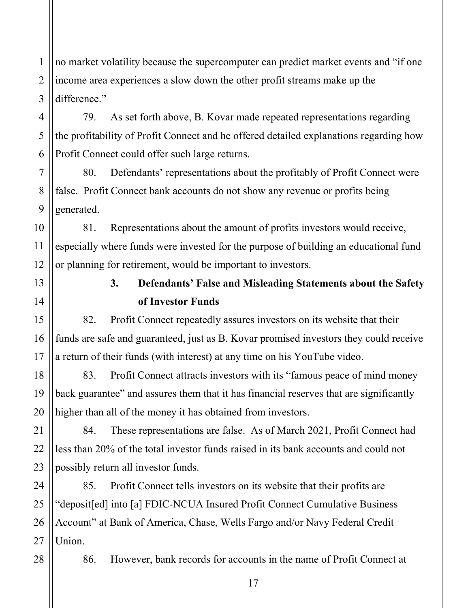1 2 3 no market volatility because the supercomputer can predict market events and "if one income area experiences a slow down the other profit streams make up the difference."

79. As set forth above, B. Kovar made repeated representations regarding the profitability of Profit Connect and he offered detailed explanations regarding how Profit Connect could offer such large returns.

80. Defendants' representations about the profitably of Profit Connect were false. Profit Connect bank accounts do not show any revenue or profits being generated.

81. Representations about the amount of profits investors would receive, especially where funds were invested for the purpose of building an educational fund or planning for retirement, would be important to investors.

13 14

4

5

6

7

8

9

10

11

12

15

16

17

18

19

20

21

22

23

28

# **3. Defendants' False and Misleading Statements about the Safety of Investor Funds**

82. Profit Connect repeatedly assures investors on its website that their funds are safe and guaranteed, just as B. Kovar promised investors they could receive a return of their funds (with interest) at any time on his YouTube video.

 higher than all of the money it has obtained from investors. 83. Profit Connect attracts investors with its "famous peace of mind money back guarantee" and assures them that it has financial reserves that are significantly

84. These representations are false. As of March 2021, Profit Connect had less than 20% of the total investor funds raised in its bank accounts and could not possibly return all investor funds.

24 25 26 27 85. Profit Connect tells investors on its website that their profits are "deposit[ed] into [a] FDIC-NCUA Insured Profit Connect Cumulative Business Account" at Bank of America, Chase, Wells Fargo and/or Navy Federal Credit Union.

86. However, bank records for accounts in the name of Profit Connect at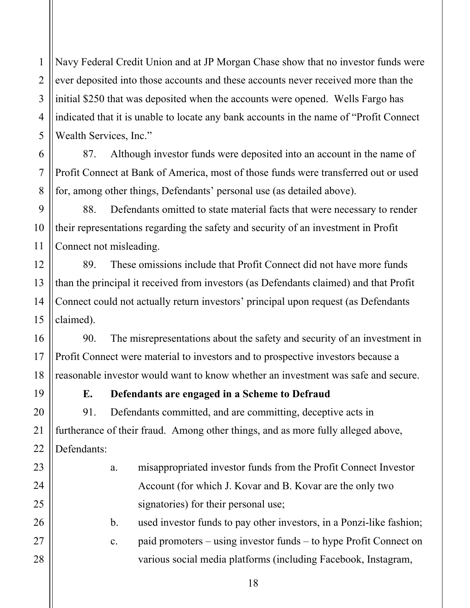Navy Federal Credit Union and at JP Morgan Chase show that no investor funds were ever deposited into those accounts and these accounts never received more than the initial \$250 that was deposited when the accounts were opened. Wells Fargo has indicated that it is unable to locate any bank accounts in the name of "Profit Connect Wealth Services, Inc."

87. Although investor funds were deposited into an account in the name of Profit Connect at Bank of America, most of those funds were transferred out or used for, among other things, Defendants' personal use (as detailed above).

88. Defendants omitted to state material facts that were necessary to render their representations regarding the safety and security of an investment in Profit Connect not misleading.

89. These omissions include that Profit Connect did not have more funds than the principal it received from investors (as Defendants claimed) and that Profit Connect could not actually return investors' principal upon request (as Defendants claimed).

90. The misrepresentations about the safety and security of an investment in Profit Connect were material to investors and to prospective investors because a reasonable investor would want to know whether an investment was safe and secure.

### **E. Defendants are engaged in a Scheme to Defraud**

91. Defendants committed, and are committing, deceptive acts in furtherance of their fraud. Among other things, and as more fully alleged above, Defendants:

> a. misappropriated investor funds from the Profit Connect Investor Account (for which J. Kovar and B. Kovar are the only two signatories) for their personal use;

b. used investor funds to pay other investors, in a Ponzi-like fashion;

c. paid promoters – using investor funds – to hype Profit Connect on various social media platforms (including Facebook, Instagram,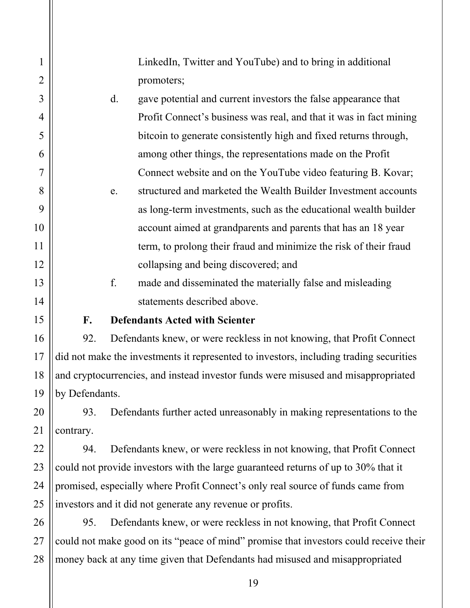| $\mathbf{1}$   |                                                                                        |    | LinkedIn, Twitter and YouTube) and to bring in additional              |
|----------------|----------------------------------------------------------------------------------------|----|------------------------------------------------------------------------|
| $\overline{2}$ |                                                                                        |    | promoters;                                                             |
| $\overline{3}$ |                                                                                        | d. | gave potential and current investors the false appearance that         |
| 4              |                                                                                        |    | Profit Connect's business was real, and that it was in fact mining     |
| 5              |                                                                                        |    | bitcoin to generate consistently high and fixed returns through,       |
| 6              |                                                                                        |    | among other things, the representations made on the Profit             |
| 7              |                                                                                        |    | Connect website and on the YouTube video featuring B. Kovar;           |
| 8              |                                                                                        | e. | structured and marketed the Wealth Builder Investment accounts         |
| 9              |                                                                                        |    | as long-term investments, such as the educational wealth builder       |
| 10             |                                                                                        |    | account aimed at grandparents and parents that has an 18 year          |
| 11             |                                                                                        |    | term, to prolong their fraud and minimize the risk of their fraud      |
| 12             |                                                                                        |    | collapsing and being discovered; and                                   |
| 13             |                                                                                        | f. | made and disseminated the materially false and misleading              |
| 14             |                                                                                        |    | statements described above.                                            |
| 15             | $\mathbf{F}$ .                                                                         |    | <b>Defendants Acted with Scienter</b>                                  |
| 16             | 92.                                                                                    |    | Defendants knew, or were reckless in not knowing, that Profit Connect  |
| 17             | did not make the investments it represented to investors, including trading securities |    |                                                                        |
| 18             | and cryptocurrencies, and instead investor funds were misused and misappropriated      |    |                                                                        |
| 19             | by Defendants.                                                                         |    |                                                                        |
| 20             | 93.                                                                                    |    | Defendants further acted unreasonably in making representations to the |
| 21             | contrary.                                                                              |    |                                                                        |
| 22             | 94.                                                                                    |    | Defendants knew, or were reckless in not knowing, that Profit Connect  |
| 23             | could not provide investors with the large guaranteed returns of up to 30% that it     |    |                                                                        |
| 24             | promised, especially where Profit Connect's only real source of funds came from        |    |                                                                        |
| 25             | investors and it did not generate any revenue or profits.                              |    |                                                                        |
| 26             | 95.                                                                                    |    | Defendants knew, or were reckless in not knowing, that Profit Connect  |
| 27             | could not make good on its "peace of mind" promise that investors could receive their  |    |                                                                        |
| 28             | money back at any time given that Defendants had misused and misappropriated           |    |                                                                        |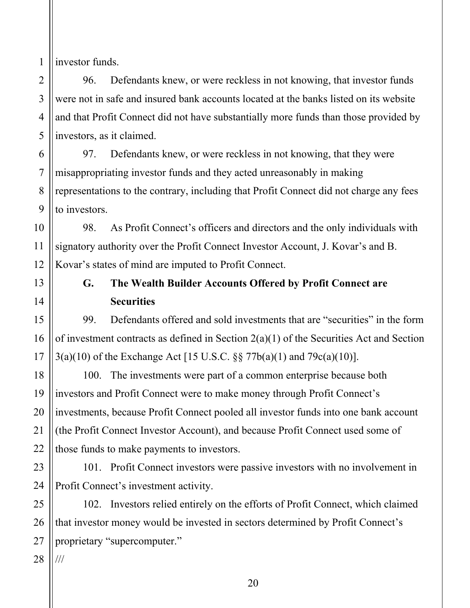1 investor funds.

2

3

4

5

7

8

10

11

12

13

14

15

16

17

18

19

20

21

22

96. Defendants knew, or were reckless in not knowing, that investor funds were not in safe and insured bank accounts located at the banks listed on its website and that Profit Connect did not have substantially more funds than those provided by investors, as it claimed.

6 9 97. Defendants knew, or were reckless in not knowing, that they were misappropriating investor funds and they acted unreasonably in making representations to the contrary, including that Profit Connect did not charge any fees to investors.

98. As Profit Connect's officers and directors and the only individuals with signatory authority over the Profit Connect Investor Account, J. Kovar's and B. Kovar's states of mind are imputed to Profit Connect.

# **G. The Wealth Builder Accounts Offered by Profit Connect are Securities**

99. Defendants offered and sold investments that are "securities" in the form of investment contracts as defined in Section  $2(a)(1)$  of the Securities Act and Section 3(a)(10) of the Exchange Act [15 U.S.C. §§ 77b(a)(1) and 79c(a)(10)].

100. The investments were part of a common enterprise because both investors and Profit Connect were to make money through Profit Connect's investments, because Profit Connect pooled all investor funds into one bank account (the Profit Connect Investor Account), and because Profit Connect used some of those funds to make payments to investors.

23 24 101. Profit Connect investors were passive investors with no involvement in Profit Connect's investment activity.

25 26 27 102. Investors relied entirely on the efforts of Profit Connect, which claimed that investor money would be invested in sectors determined by Profit Connect's proprietary "supercomputer."

28 ///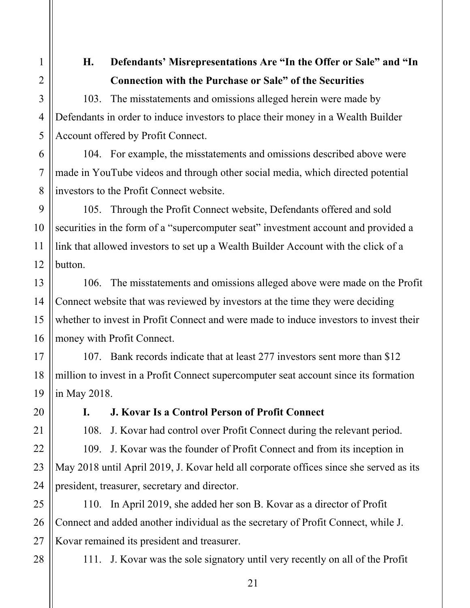**H. Defendants' Misrepresentations Are "In the Offer or Sale" and "In Connection with the Purchase or Sale" of the Securities** 

103. The misstatements and omissions alleged herein were made by Defendants in order to induce investors to place their money in a Wealth Builder Account offered by Profit Connect.

104. For example, the misstatements and omissions described above were made in YouTube videos and through other social media, which directed potential investors to the Profit Connect website.

9 10 12 105. Through the Profit Connect website, Defendants offered and sold securities in the form of a "supercomputer seat" investment account and provided a link that allowed investors to set up a Wealth Builder Account with the click of a button.

106. The misstatements and omissions alleged above were made on the Profit Connect website that was reviewed by investors at the time they were deciding whether to invest in Profit Connect and were made to induce investors to invest their money with Profit Connect.

107. Bank records indicate that at least 277 investors sent more than \$12 million to invest in a Profit Connect supercomputer seat account since its formation in May 2018.

1

2

3

4

5

6

7

8

11

13

14

15

16

17

18

19

20

21

22

23

24

### **I. J. Kovar Is a Control Person of Profit Connect**

108. J. Kovar had control over Profit Connect during the relevant period.

109. J. Kovar was the founder of Profit Connect and from its inception in May 2018 until April 2019, J. Kovar held all corporate offices since she served as its president, treasurer, secretary and director.

25 26 27 110. In April 2019, she added her son B. Kovar as a director of Profit Connect and added another individual as the secretary of Profit Connect, while J. Kovar remained its president and treasurer.

28

111. J. Kovar was the sole signatory until very recently on all of the Profit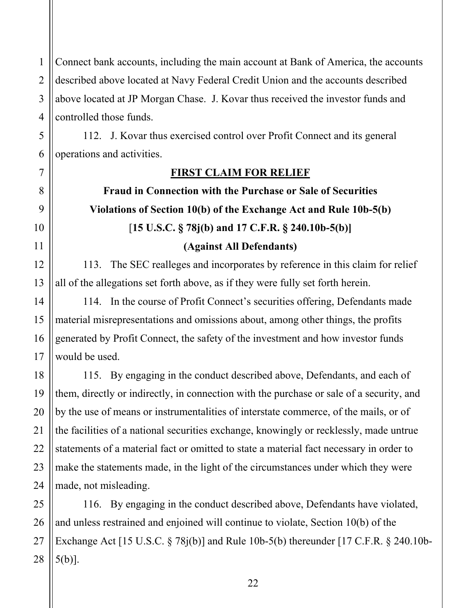1 2 3 4 Connect bank accounts, including the main account at Bank of America, the accounts described above located at Navy Federal Credit Union and the accounts described above located at JP Morgan Chase. J. Kovar thus received the investor funds and controlled those funds.

112. J. Kovar thus exercised control over Profit Connect and its general operations and activities.

5

6

7

8

9

10

11

12

13

14

15

16

17

18

19

20

21

22

23

24

#### **FIRST CLAIM FOR RELIEF**

**Fraud in Connection with the Purchase or Sale of Securities Violations of Section 10(b) of the Exchange Act and Rule 10b-5(b)**  [**15 U.S.C. § 78j(b) and 17 C.F.R. § 240.10b-5(b)] (Against All Defendants)** 

113. The SEC realleges and incorporates by reference in this claim for relief all of the allegations set forth above, as if they were fully set forth herein.

114. In the course of Profit Connect's securities offering, Defendants made material misrepresentations and omissions about, among other things, the profits generated by Profit Connect, the safety of the investment and how investor funds would be used.

115. By engaging in the conduct described above, Defendants, and each of them, directly or indirectly, in connection with the purchase or sale of a security, and by the use of means or instrumentalities of interstate commerce, of the mails, or of the facilities of a national securities exchange, knowingly or recklessly, made untrue statements of a material fact or omitted to state a material fact necessary in order to make the statements made, in the light of the circumstances under which they were made, not misleading.

25 26 27 28 116. By engaging in the conduct described above, Defendants have violated, and unless restrained and enjoined will continue to violate, Section 10(b) of the Exchange Act [15 U.S.C. § 78j(b)] and Rule 10b-5(b) thereunder [17 C.F.R. § 240.10b-5(b)].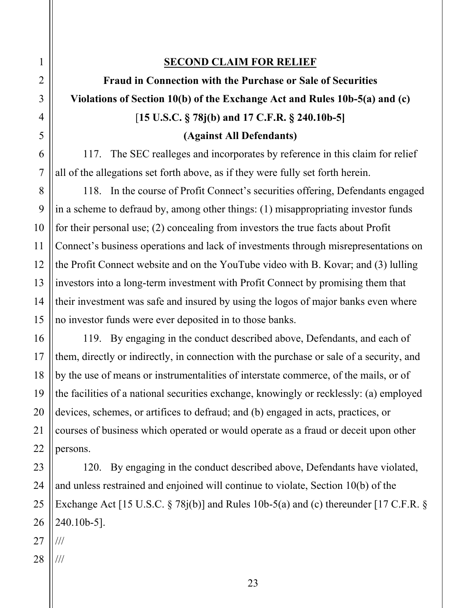#### **SECOND CLAIM FOR RELIEF**

 **Violations of Section 10(b) of the Exchange Act and Rules 10b-5(a) and (c) Fraud in Connection with the Purchase or Sale of Securities**  [**15 U.S.C. § 78j(b) and 17 C.F.R. § 240.10b-5] (Against All Defendants)** 

117. The SEC realleges and incorporates by reference in this claim for relief all of the allegations set forth above, as if they were fully set forth herein.

118. In the course of Profit Connect's securities offering, Defendants engaged in a scheme to defraud by, among other things: (1) misappropriating investor funds for their personal use; (2) concealing from investors the true facts about Profit Connect's business operations and lack of investments through misrepresentations on the Profit Connect website and on the YouTube video with B. Kovar; and (3) lulling investors into a long-term investment with Profit Connect by promising them that their investment was safe and insured by using the logos of major banks even where no investor funds were ever deposited in to those banks.

119. By engaging in the conduct described above, Defendants, and each of them, directly or indirectly, in connection with the purchase or sale of a security, and by the use of means or instrumentalities of interstate commerce, of the mails, or of the facilities of a national securities exchange, knowingly or recklessly: (a) employed devices, schemes, or artifices to defraud; and (b) engaged in acts, practices, or courses of business which operated or would operate as a fraud or deceit upon other persons.

120. By engaging in the conduct described above, Defendants have violated, and unless restrained and enjoined will continue to violate, Section 10(b) of the Exchange Act [15 U.S.C. § 78j(b)] and Rules 10b-5(a) and (c) thereunder [17 C.F.R. § 240.10b-5].

///

///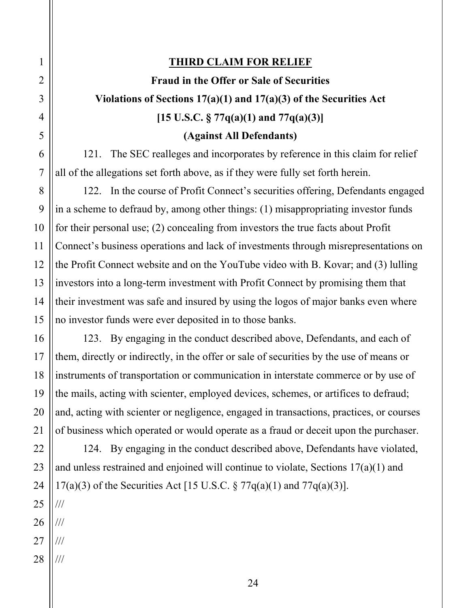### **THIRD CLAIM FOR RELIEF**

**Fraud in the Offer or Sale of Securities** 

**Violations of Sections 17(a)(1) and 17(a)(3) of the Securities Act [15 U.S.C. § 77q(a)(1) and 77q(a)(3)]** 

**(Against All Defendants)** 

121. The SEC realleges and incorporates by reference in this claim for relief all of the allegations set forth above, as if they were fully set forth herein.

122. In the course of Profit Connect's securities offering, Defendants engaged in a scheme to defraud by, among other things: (1) misappropriating investor funds for their personal use; (2) concealing from investors the true facts about Profit Connect's business operations and lack of investments through misrepresentations on the Profit Connect website and on the YouTube video with B. Kovar; and (3) lulling investors into a long-term investment with Profit Connect by promising them that their investment was safe and insured by using the logos of major banks even where no investor funds were ever deposited in to those banks.

123. By engaging in the conduct described above, Defendants, and each of them, directly or indirectly, in the offer or sale of securities by the use of means or instruments of transportation or communication in interstate commerce or by use of the mails, acting with scienter, employed devices, schemes, or artifices to defraud; and, acting with scienter or negligence, engaged in transactions, practices, or courses of business which operated or would operate as a fraud or deceit upon the purchaser.

124. By engaging in the conduct described above, Defendants have violated, and unless restrained and enjoined will continue to violate, Sections 17(a)(1) and 17(a)(3) of the Securities Act [15 U.S.C.  $\S 77q(a)(1)$  and  $77q(a)(3)$ ].

/// ///

- ///
- ///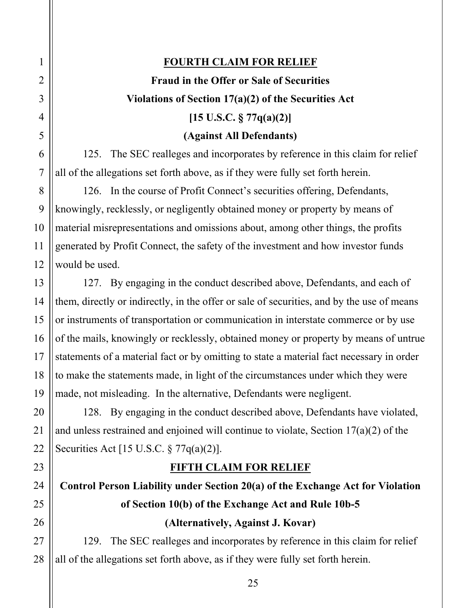#### **FOURTH CLAIM FOR RELIEF**

# **Fraud in the Offer or Sale of Securities Violations of Section 17(a)(2) of the Securities Act [15 U.S.C. § 77q(a)(2)]**

#### **(Against All Defendants)**

125. The SEC realleges and incorporates by reference in this claim for relief all of the allegations set forth above, as if they were fully set forth herein.

126. In the course of Profit Connect's securities offering, Defendants, knowingly, recklessly, or negligently obtained money or property by means of material misrepresentations and omissions about, among other things, the profits generated by Profit Connect, the safety of the investment and how investor funds would be used.

127. By engaging in the conduct described above, Defendants, and each of them, directly or indirectly, in the offer or sale of securities, and by the use of means or instruments of transportation or communication in interstate commerce or by use of the mails, knowingly or recklessly, obtained money or property by means of untrue statements of a material fact or by omitting to state a material fact necessary in order to make the statements made, in light of the circumstances under which they were made, not misleading. In the alternative, Defendants were negligent.

128. By engaging in the conduct described above, Defendants have violated, and unless restrained and enjoined will continue to violate, Section 17(a)(2) of the Securities Act [15 U.S.C. § 77q(a)(2)].

#### **FIFTH CLAIM FOR RELIEF**

# **Control Person Liability under Section 20(a) of the Exchange Act for Violation of Section 10(b) of the Exchange Act and Rule 10b-5 (Alternatively, Against J. Kovar)**

129. The SEC realleges and incorporates by reference in this claim for relief all of the allegations set forth above, as if they were fully set forth herein.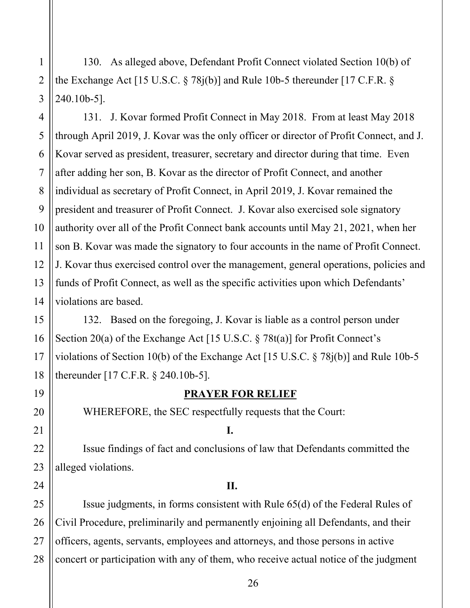130. As alleged above, Defendant Profit Connect violated Section 10(b) of the Exchange Act [15 U.S.C. § 78j(b)] and Rule 10b-5 thereunder [17 C.F.R. § 240.10b-5].

 131. J. Kovar formed Profit Connect in May 2018. From at least May 2018 through April 2019, J. Kovar was the only officer or director of Profit Connect, and J. Kovar served as president, treasurer, secretary and director during that time. Even after adding her son, B. Kovar as the director of Profit Connect, and another individual as secretary of Profit Connect, in April 2019, J. Kovar remained the president and treasurer of Profit Connect. J. Kovar also exercised sole signatory authority over all of the Profit Connect bank accounts until May 21, 2021, when her son B. Kovar was made the signatory to four accounts in the name of Profit Connect. J. Kovar thus exercised control over the management, general operations, policies and funds of Profit Connect, as well as the specific activities upon which Defendants' violations are based.

132. Based on the foregoing, J. Kovar is liable as a control person under Section 20(a) of the Exchange Act [15 U.S.C. § 78t(a)] for Profit Connect's violations of Section 10(b) of the Exchange Act [15 U.S.C. § 78j(b)] and Rule 10b-5 thereunder [17 C.F.R. § 240.10b-5].

### **PRAYER FOR RELIEF**

WHEREFORE, the SEC respectfully requests that the Court:

**I.** 

Issue findings of fact and conclusions of law that Defendants committed the alleged violations.

### **II.**

Issue judgments, in forms consistent with Rule 65(d) of the Federal Rules of Civil Procedure, preliminarily and permanently enjoining all Defendants, and their officers, agents, servants, employees and attorneys, and those persons in active concert or participation with any of them, who receive actual notice of the judgment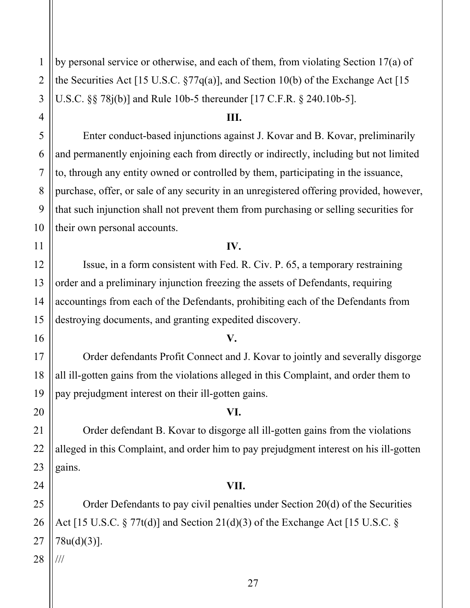by personal service or otherwise, and each of them, from violating Section 17(a) of the Securities Act [15 U.S.C.  $\S77q(a)$ ], and Section 10(b) of the Exchange Act [15 U.S.C. §§ 78j(b)] and Rule 10b-5 thereunder [17 C.F.R. § 240.10b-5].

### **III.**

Enter conduct-based injunctions against J. Kovar and B. Kovar, preliminarily and permanently enjoining each from directly or indirectly, including but not limited to, through any entity owned or controlled by them, participating in the issuance, purchase, offer, or sale of any security in an unregistered offering provided, however, that such injunction shall not prevent them from purchasing or selling securities for their own personal accounts.

#### **IV.**

Issue, in a form consistent with Fed. R. Civ. P. 65, a temporary restraining order and a preliminary injunction freezing the assets of Defendants, requiring accountings from each of the Defendants, prohibiting each of the Defendants from destroying documents, and granting expedited discovery.

#### **V.**

Order defendants Profit Connect and J. Kovar to jointly and severally disgorge all ill-gotten gains from the violations alleged in this Complaint, and order them to pay prejudgment interest on their ill-gotten gains.

#### **VI.**

Order defendant B. Kovar to disgorge all ill-gotten gains from the violations alleged in this Complaint, and order him to pay prejudgment interest on his ill-gotten gains.

### **VII.**

Order Defendants to pay civil penalties under Section 20(d) of the Securities Act [15 U.S.C.  $\S 77t(d)$ ] and Section 21(d)(3) of the Exchange Act [15 U.S.C.  $\S$ 78u(d)(3)].

///